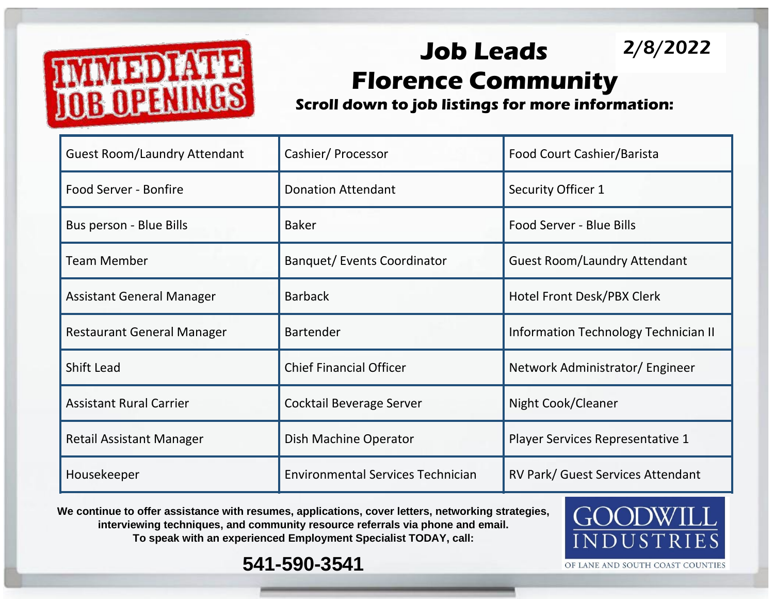

## **Job Leads Florence Community** 2/8/2022

**Scroll down to job listings for more information:**

| <b>Guest Room/Laundry Attendant</b> | Cashier/Processor                        | Food Court Cashier/Barista           |  |
|-------------------------------------|------------------------------------------|--------------------------------------|--|
| Food Server - Bonfire               | <b>Donation Attendant</b>                | Security Officer 1                   |  |
| Bus person - Blue Bills             | <b>Baker</b>                             | Food Server - Blue Bills             |  |
| <b>Team Member</b>                  | <b>Banquet/Events Coordinator</b>        | <b>Guest Room/Laundry Attendant</b>  |  |
| <b>Assistant General Manager</b>    | <b>Barback</b>                           | Hotel Front Desk/PBX Clerk           |  |
| <b>Restaurant General Manager</b>   | <b>Bartender</b>                         | Information Technology Technician II |  |
| <b>Shift Lead</b>                   | <b>Chief Financial Officer</b>           | Network Administrator/ Engineer      |  |
| <b>Assistant Rural Carrier</b>      | Cocktail Beverage Server                 | Night Cook/Cleaner                   |  |
| <b>Retail Assistant Manager</b>     | Dish Machine Operator                    | Player Services Representative 1     |  |
| Housekeeper                         | <b>Environmental Services Technician</b> | RV Park/ Guest Services Attendant    |  |

We continue to offer assistance with resumes, applications, cover letters, networking strategies, **interviewing techniques, and community resource referrals via phone and email. To speak with an experienced Employment Specialist TODAY, call:** 



**541-590-3541**

OF LANE AND SOUTH COAST COUNTIES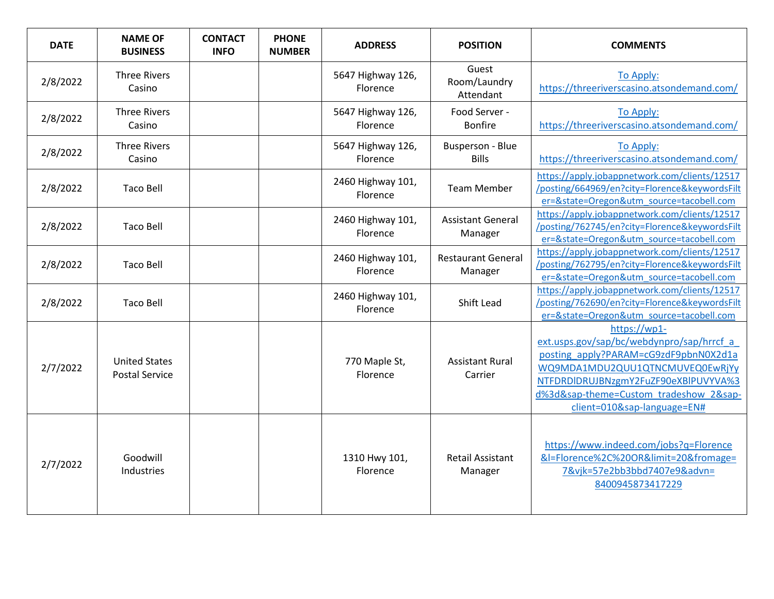| <b>DATE</b> | <b>NAME OF</b><br><b>BUSINESS</b>             | <b>CONTACT</b><br><b>INFO</b> | <b>PHONE</b><br><b>NUMBER</b> | <b>ADDRESS</b>                | <b>POSITION</b>                         | <b>COMMENTS</b>                                                                                                                                                                                                                                        |
|-------------|-----------------------------------------------|-------------------------------|-------------------------------|-------------------------------|-----------------------------------------|--------------------------------------------------------------------------------------------------------------------------------------------------------------------------------------------------------------------------------------------------------|
| 2/8/2022    | <b>Three Rivers</b><br>Casino                 |                               |                               | 5647 Highway 126,<br>Florence | Guest<br>Room/Laundry<br>Attendant      | To Apply:<br>https://threeriverscasino.atsondemand.com/                                                                                                                                                                                                |
| 2/8/2022    | <b>Three Rivers</b><br>Casino                 |                               |                               | 5647 Highway 126,<br>Florence | Food Server -<br><b>Bonfire</b>         | <b>To Apply:</b><br>https://threeriverscasino.atsondemand.com/                                                                                                                                                                                         |
| 2/8/2022    | <b>Three Rivers</b><br>Casino                 |                               |                               | 5647 Highway 126,<br>Florence | <b>Busperson - Blue</b><br><b>Bills</b> | To Apply:<br>https://threeriverscasino.atsondemand.com/                                                                                                                                                                                                |
| 2/8/2022    | <b>Taco Bell</b>                              |                               |                               | 2460 Highway 101,<br>Florence | <b>Team Member</b>                      | https://apply.jobappnetwork.com/clients/12517<br>/posting/664969/en?city=Florence&keywordsFilt<br>er=&state=Oregon&utm source=tacobell.com                                                                                                             |
| 2/8/2022    | <b>Taco Bell</b>                              |                               |                               | 2460 Highway 101,<br>Florence | <b>Assistant General</b><br>Manager     | https://apply.jobappnetwork.com/clients/12517<br>/posting/762745/en?city=Florence&keywordsFilt<br>er=&state=Oregon&utm_source=tacobell.com                                                                                                             |
| 2/8/2022    | <b>Taco Bell</b>                              |                               |                               | 2460 Highway 101,<br>Florence | <b>Restaurant General</b><br>Manager    | https://apply.jobappnetwork.com/clients/12517<br>/posting/762795/en?city=Florence&keywordsFilt<br>er=&state=Oregon&utm_source=tacobell.com                                                                                                             |
| 2/8/2022    | <b>Taco Bell</b>                              |                               |                               | 2460 Highway 101,<br>Florence | <b>Shift Lead</b>                       | https://apply.jobappnetwork.com/clients/12517<br>/posting/762690/en?city=Florence&keywordsFilt<br>er=&state=Oregon&utm source=tacobell.com                                                                                                             |
| 2/7/2022    | <b>United States</b><br><b>Postal Service</b> |                               |                               | 770 Maple St,<br>Florence     | <b>Assistant Rural</b><br>Carrier       | https://wp1-<br>ext.usps.gov/sap/bc/webdynpro/sap/hrrcf a<br>posting apply?PARAM=cG9zdF9pbnN0X2d1a<br>WQ9MDA1MDU2QUU1QTNCMUVEQ0EwRjYy<br>NTFDRDIDRUJBNzgmY2FuZF90eXBlPUVYVA%3<br>d%3d&sap-theme=Custom tradeshow 2&sap-<br>client=010&sap-language=EN# |
| 2/7/2022    | Goodwill<br>Industries                        |                               |                               | 1310 Hwy 101,<br>Florence     | Retail Assistant<br>Manager             | https://www.indeed.com/jobs?q=Florence<br>&I=Florence%2C%20OR&limit=20&fromage=<br>7&vjk=57e2bb3bbd7407e9&advn=<br>8400945873417229                                                                                                                    |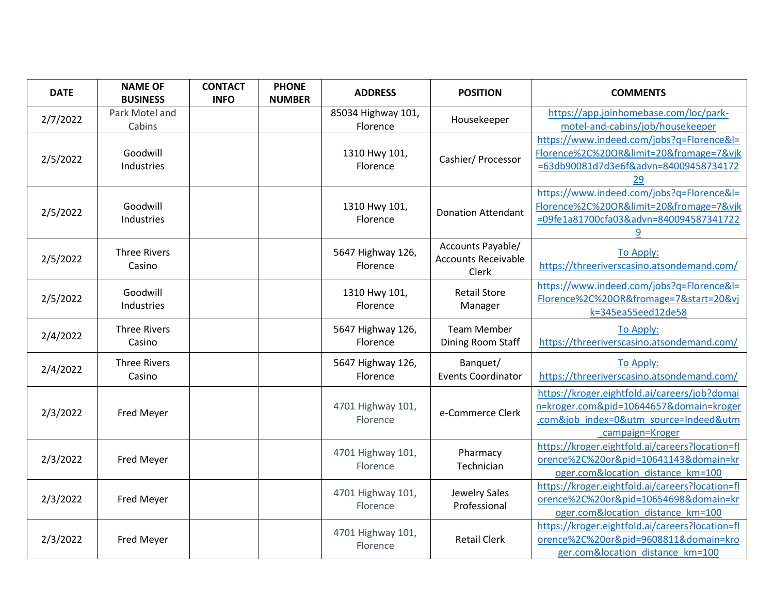| <b>DATE</b> | <b>NAME OF</b><br><b>BUSINESS</b> | <b>CONTACT</b><br><b>INFO</b> | <b>PHONE</b><br><b>NUMBER</b> | <b>ADDRESS</b>                 | <b>POSITION</b>                                          | <b>COMMENTS</b>                                                                                                                                       |
|-------------|-----------------------------------|-------------------------------|-------------------------------|--------------------------------|----------------------------------------------------------|-------------------------------------------------------------------------------------------------------------------------------------------------------|
| 2/7/2022    | Park Motel and<br>Cabins          |                               |                               | 85034 Highway 101,<br>Florence | Housekeeper                                              | https://app.joinhomebase.com/loc/park-<br>motel-and-cabins/job/housekeeper                                                                            |
| 2/5/2022    | Goodwill<br>Industries            |                               |                               | 1310 Hwy 101,<br>Florence      | Cashier/ Processor                                       | https://www.indeed.com/jobs?q=Florence&l=<br>Florence%2C%20OR&limit=20&fromage=7&vjk<br>=63db90081d7d3e6f&advn=84009458734172<br>29                   |
| 2/5/2022    | Goodwill<br>Industries            |                               |                               | 1310 Hwy 101,<br>Florence      | <b>Donation Attendant</b>                                | https://www.indeed.com/jobs?q=Florence&l=<br>Florence%2C%20OR&limit=20&fromage=7&vjk<br>=09fe1a81700cfa03&advn=840094587341722<br>9                   |
| 2/5/2022    | <b>Three Rivers</b><br>Casino     |                               |                               | 5647 Highway 126,<br>Florence  | Accounts Payable/<br><b>Accounts Receivable</b><br>Clerk | To Apply:<br>https://threeriverscasino.atsondemand.com/                                                                                               |
| 2/5/2022    | Goodwill<br>Industries            |                               |                               | 1310 Hwy 101,<br>Florence      | <b>Retail Store</b><br>Manager                           | https://www.indeed.com/jobs?q=Florence&l=<br>Florence%2C%20OR&fromage=7&start=20&vj<br>k=345ea55eed12de58                                             |
| 2/4/2022    | <b>Three Rivers</b><br>Casino     |                               |                               | 5647 Highway 126,<br>Florence  | <b>Team Member</b><br>Dining Room Staff                  | To Apply:<br>https://threeriverscasino.atsondemand.com/                                                                                               |
| 2/4/2022    | <b>Three Rivers</b><br>Casino     |                               |                               | 5647 Highway 126,<br>Florence  | Banquet/<br><b>Events Coordinator</b>                    | To Apply:<br>https://threeriverscasino.atsondemand.com/                                                                                               |
| 2/3/2022    | Fred Meyer                        |                               |                               | 4701 Highway 101,<br>Florence  | e-Commerce Clerk                                         | https://kroger.eightfold.ai/careers/job?domai<br>n=kroger.com&pid=10644657&domain=kroger<br>.com&job index=0&utm source=Indeed&utm<br>campaign=Kroger |
| 2/3/2022    | Fred Meyer                        |                               |                               | 4701 Highway 101,<br>Florence  | Pharmacy<br>Technician                                   | https://kroger.eightfold.ai/careers?location=fl<br>orence%2C%20or&pid=10641143&domain=kr<br>oger.com&location distance km=100                         |
| 2/3/2022    | Fred Meyer                        |                               |                               | 4701 Highway 101,<br>Florence  | Jewelry Sales<br>Professional                            | https://kroger.eightfold.ai/careers?location=fl<br>orence%2C%20or&pid=10654698&domain=kr<br>oger.com&location distance km=100                         |
| 2/3/2022    | Fred Meyer                        |                               |                               | 4701 Highway 101,<br>Florence  | <b>Retail Clerk</b>                                      | https://kroger.eightfold.ai/careers?location=fl<br>orence%2C%20or&pid=9608811&domain=kro<br>ger.com&location_distance_km=100                          |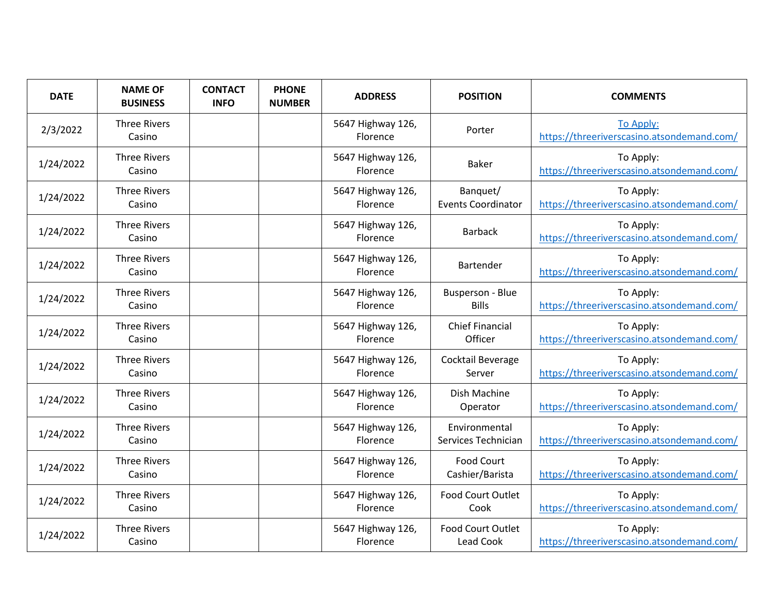| <b>DATE</b> | <b>NAME OF</b><br><b>BUSINESS</b> | <b>CONTACT</b><br><b>INFO</b> | <b>PHONE</b><br><b>NUMBER</b> | <b>ADDRESS</b>                       | <b>POSITION</b>                         | <b>COMMENTS</b>                                         |
|-------------|-----------------------------------|-------------------------------|-------------------------------|--------------------------------------|-----------------------------------------|---------------------------------------------------------|
| 2/3/2022    | <b>Three Rivers</b><br>Casino     |                               |                               | 5647 Highway 126,<br>Florence        | Porter                                  | To Apply:<br>https://threeriverscasino.atsondemand.com/ |
| 1/24/2022   | <b>Three Rivers</b><br>Casino     |                               |                               | 5647 Highway 126,<br>Florence        | <b>Baker</b>                            | To Apply:<br>https://threeriverscasino.atsondemand.com/ |
| 1/24/2022   | <b>Three Rivers</b><br>Casino     |                               |                               | 5647 Highway 126,<br>Florence        | Banquet/<br><b>Events Coordinator</b>   | To Apply:<br>https://threeriverscasino.atsondemand.com/ |
| 1/24/2022   | <b>Three Rivers</b><br>Casino     |                               |                               | 5647 Highway 126,<br>Florence        | <b>Barback</b>                          | To Apply:<br>https://threeriverscasino.atsondemand.com/ |
| 1/24/2022   | <b>Three Rivers</b><br>Casino     |                               |                               | 5647 Highway 126,<br>Florence        | Bartender                               | To Apply:<br>https://threeriverscasino.atsondemand.com/ |
| 1/24/2022   | <b>Three Rivers</b><br>Casino     |                               |                               | 5647 Highway 126,<br>Florence        | <b>Busperson - Blue</b><br><b>Bills</b> | To Apply:<br>https://threeriverscasino.atsondemand.com/ |
| 1/24/2022   | <b>Three Rivers</b><br>Casino     |                               |                               | 5647 Highway 126,<br>Florence        | <b>Chief Financial</b><br>Officer       | To Apply:<br>https://threeriverscasino.atsondemand.com/ |
| 1/24/2022   | <b>Three Rivers</b><br>Casino     |                               |                               | 5647 Highway 126,<br>Florence        | Cocktail Beverage<br>Server             | To Apply:<br>https://threeriverscasino.atsondemand.com/ |
| 1/24/2022   | <b>Three Rivers</b><br>Casino     |                               |                               | 5647 Highway 126,<br><b>Florence</b> | Dish Machine<br>Operator                | To Apply:<br>https://threeriverscasino.atsondemand.com/ |
| 1/24/2022   | <b>Three Rivers</b><br>Casino     |                               |                               | 5647 Highway 126,<br>Florence        | Environmental<br>Services Technician    | To Apply:<br>https://threeriverscasino.atsondemand.com/ |
| 1/24/2022   | <b>Three Rivers</b><br>Casino     |                               |                               | 5647 Highway 126,<br>Florence        | <b>Food Court</b><br>Cashier/Barista    | To Apply:<br>https://threeriverscasino.atsondemand.com/ |
| 1/24/2022   | <b>Three Rivers</b><br>Casino     |                               |                               | 5647 Highway 126,<br>Florence        | <b>Food Court Outlet</b><br>Cook        | To Apply:<br>https://threeriverscasino.atsondemand.com/ |
| 1/24/2022   | <b>Three Rivers</b><br>Casino     |                               |                               | 5647 Highway 126,<br>Florence        | Food Court Outlet<br>Lead Cook          | To Apply:<br>https://threeriverscasino.atsondemand.com/ |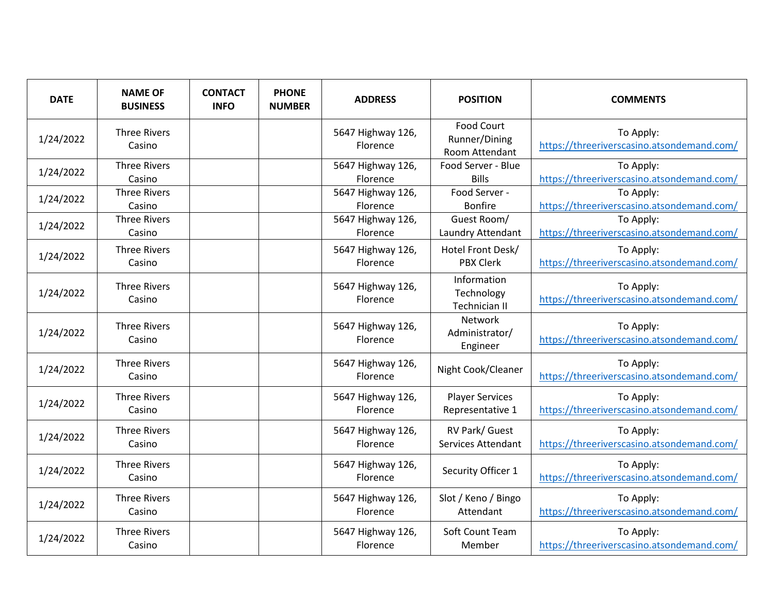| <b>DATE</b> | <b>NAME OF</b><br><b>BUSINESS</b> | <b>CONTACT</b><br><b>INFO</b> | <b>PHONE</b><br><b>NUMBER</b> | <b>ADDRESS</b>                       | <b>POSITION</b>                                      | <b>COMMENTS</b>                                         |
|-------------|-----------------------------------|-------------------------------|-------------------------------|--------------------------------------|------------------------------------------------------|---------------------------------------------------------|
| 1/24/2022   | <b>Three Rivers</b><br>Casino     |                               |                               | 5647 Highway 126,<br><b>Florence</b> | <b>Food Court</b><br>Runner/Dining<br>Room Attendant | To Apply:<br>https://threeriverscasino.atsondemand.com/ |
| 1/24/2022   | <b>Three Rivers</b><br>Casino     |                               |                               | 5647 Highway 126,<br>Florence        | Food Server - Blue<br><b>Bills</b>                   | To Apply:<br>https://threeriverscasino.atsondemand.com/ |
| 1/24/2022   | <b>Three Rivers</b><br>Casino     |                               |                               | 5647 Highway 126,<br>Florence        | Food Server -<br><b>Bonfire</b>                      | To Apply:<br>https://threeriverscasino.atsondemand.com/ |
| 1/24/2022   | <b>Three Rivers</b><br>Casino     |                               |                               | 5647 Highway 126,<br>Florence        | Guest Room/<br>Laundry Attendant                     | To Apply:<br>https://threeriverscasino.atsondemand.com/ |
| 1/24/2022   | <b>Three Rivers</b><br>Casino     |                               |                               | 5647 Highway 126,<br>Florence        | Hotel Front Desk/<br><b>PBX Clerk</b>                | To Apply:<br>https://threeriverscasino.atsondemand.com/ |
| 1/24/2022   | <b>Three Rivers</b><br>Casino     |                               |                               | 5647 Highway 126,<br>Florence        | Information<br>Technology<br><b>Technician II</b>    | To Apply:<br>https://threeriverscasino.atsondemand.com/ |
| 1/24/2022   | <b>Three Rivers</b><br>Casino     |                               |                               | 5647 Highway 126,<br>Florence        | <b>Network</b><br>Administrator/<br>Engineer         | To Apply:<br>https://threeriverscasino.atsondemand.com/ |
| 1/24/2022   | <b>Three Rivers</b><br>Casino     |                               |                               | 5647 Highway 126,<br>Florence        | Night Cook/Cleaner                                   | To Apply:<br>https://threeriverscasino.atsondemand.com/ |
| 1/24/2022   | <b>Three Rivers</b><br>Casino     |                               |                               | 5647 Highway 126,<br>Florence        | <b>Player Services</b><br>Representative 1           | To Apply:<br>https://threeriverscasino.atsondemand.com/ |
| 1/24/2022   | <b>Three Rivers</b><br>Casino     |                               |                               | 5647 Highway 126,<br>Florence        | RV Park/ Guest<br><b>Services Attendant</b>          | To Apply:<br>https://threeriverscasino.atsondemand.com/ |
| 1/24/2022   | <b>Three Rivers</b><br>Casino     |                               |                               | 5647 Highway 126,<br>Florence        | Security Officer 1                                   | To Apply:<br>https://threeriverscasino.atsondemand.com/ |
| 1/24/2022   | <b>Three Rivers</b><br>Casino     |                               |                               | 5647 Highway 126,<br>Florence        | Slot / Keno / Bingo<br>Attendant                     | To Apply:<br>https://threeriverscasino.atsondemand.com/ |
| 1/24/2022   | <b>Three Rivers</b><br>Casino     |                               |                               | 5647 Highway 126,<br>Florence        | Soft Count Team<br>Member                            | To Apply:<br>https://threeriverscasino.atsondemand.com/ |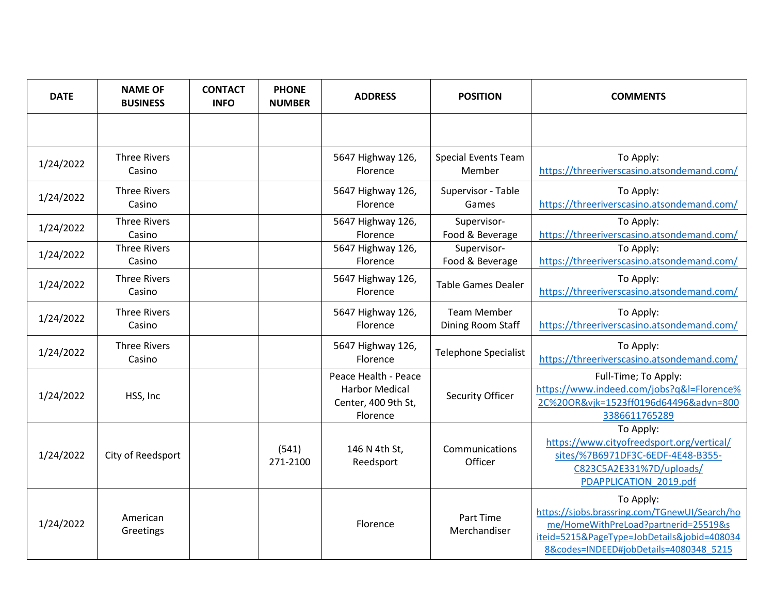| <b>DATE</b> | <b>NAME OF</b><br><b>BUSINESS</b> | <b>CONTACT</b><br><b>INFO</b> | <b>PHONE</b><br><b>NUMBER</b> | <b>ADDRESS</b>                                                                   | <b>POSITION</b>                         | <b>COMMENTS</b>                                                                                                                                                                             |
|-------------|-----------------------------------|-------------------------------|-------------------------------|----------------------------------------------------------------------------------|-----------------------------------------|---------------------------------------------------------------------------------------------------------------------------------------------------------------------------------------------|
|             |                                   |                               |                               |                                                                                  |                                         |                                                                                                                                                                                             |
| 1/24/2022   | <b>Three Rivers</b><br>Casino     |                               |                               | 5647 Highway 126,<br>Florence                                                    | <b>Special Events Team</b><br>Member    | To Apply:<br>https://threeriverscasino.atsondemand.com/                                                                                                                                     |
| 1/24/2022   | <b>Three Rivers</b><br>Casino     |                               |                               | 5647 Highway 126,<br>Florence                                                    | Supervisor - Table<br>Games             | To Apply:<br>https://threeriverscasino.atsondemand.com/                                                                                                                                     |
| 1/24/2022   | <b>Three Rivers</b><br>Casino     |                               |                               | 5647 Highway 126,<br>Florence                                                    | Supervisor-<br>Food & Beverage          | To Apply:<br>https://threeriverscasino.atsondemand.com/                                                                                                                                     |
| 1/24/2022   | <b>Three Rivers</b><br>Casino     |                               |                               | 5647 Highway 126,<br>Florence                                                    | Supervisor-<br>Food & Beverage          | To Apply:<br>https://threeriverscasino.atsondemand.com/                                                                                                                                     |
| 1/24/2022   | <b>Three Rivers</b><br>Casino     |                               |                               | 5647 Highway 126,<br>Florence                                                    | <b>Table Games Dealer</b>               | To Apply:<br>https://threeriverscasino.atsondemand.com/                                                                                                                                     |
| 1/24/2022   | <b>Three Rivers</b><br>Casino     |                               |                               | 5647 Highway 126,<br>Florence                                                    | <b>Team Member</b><br>Dining Room Staff | To Apply:<br>https://threeriverscasino.atsondemand.com/                                                                                                                                     |
| 1/24/2022   | <b>Three Rivers</b><br>Casino     |                               |                               | 5647 Highway 126,<br>Florence                                                    | <b>Telephone Specialist</b>             | To Apply:<br>https://threeriverscasino.atsondemand.com/                                                                                                                                     |
| 1/24/2022   | HSS, Inc                          |                               |                               | Peace Health - Peace<br><b>Harbor Medical</b><br>Center, 400 9th St,<br>Florence | Security Officer                        | Full-Time; To Apply:<br>https://www.indeed.com/jobs?q&l=Florence%<br>2C%20OR&vjk=1523ff0196d64496&advn=800<br>3386611765289                                                                 |
| 1/24/2022   | City of Reedsport                 |                               | (541)<br>271-2100             | 146 N 4th St,<br>Reedsport                                                       | Communications<br>Officer               | To Apply:<br>https://www.cityofreedsport.org/vertical/<br>sites/%7B6971DF3C-6EDF-4E48-B355-<br>C823C5A2E331%7D/uploads/<br>PDAPPLICATION 2019.pdf                                           |
| 1/24/2022   | American<br>Greetings             |                               |                               | Florence                                                                         | Part Time<br>Merchandiser               | To Apply:<br>https://sjobs.brassring.com/TGnewUI/Search/ho<br>me/HomeWithPreLoad?partnerid=25519&s<br>iteid=5215&PageType=JobDetails&jobid=408034<br>8&codes=INDEED#jobDetails=4080348 5215 |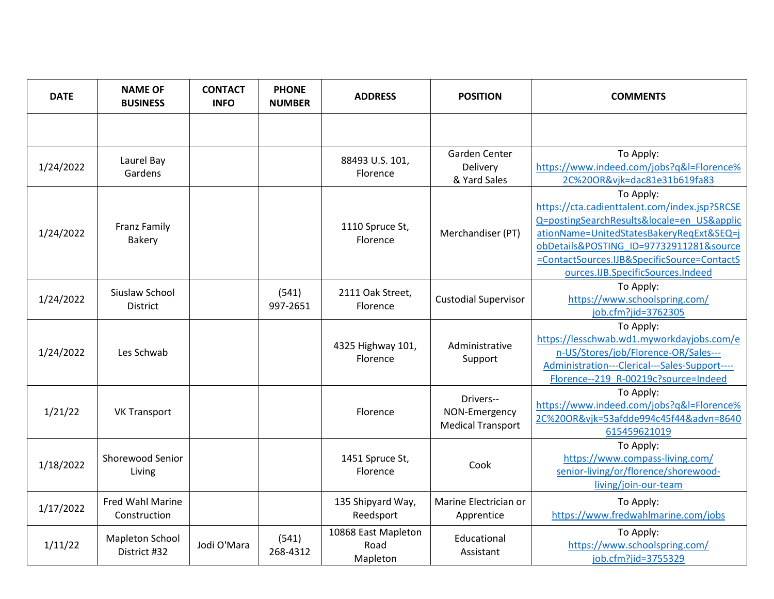| <b>DATE</b> | <b>NAME OF</b><br><b>BUSINESS</b>    | <b>CONTACT</b><br><b>INFO</b> | <b>PHONE</b><br><b>NUMBER</b> | <b>ADDRESS</b>                          | <b>POSITION</b>                                        | <b>COMMENTS</b>                                                                                                                                                                                                                                                                     |
|-------------|--------------------------------------|-------------------------------|-------------------------------|-----------------------------------------|--------------------------------------------------------|-------------------------------------------------------------------------------------------------------------------------------------------------------------------------------------------------------------------------------------------------------------------------------------|
|             |                                      |                               |                               |                                         |                                                        |                                                                                                                                                                                                                                                                                     |
| 1/24/2022   | Laurel Bay<br>Gardens                |                               |                               | 88493 U.S. 101,<br><b>Florence</b>      | Garden Center<br>Delivery<br>& Yard Sales              | To Apply:<br>https://www.indeed.com/jobs?q&l=Florence%<br>2C%20OR&vjk=dac81e31b619fa83                                                                                                                                                                                              |
| 1/24/2022   | <b>Franz Family</b><br><b>Bakery</b> |                               |                               | 1110 Spruce St,<br>Florence             | Merchandiser (PT)                                      | To Apply:<br>https://cta.cadienttalent.com/index.jsp?SRCSE<br>Q=postingSearchResults&locale=en US&applic<br>ationName=UnitedStatesBakeryRegExt&SEQ=j<br>obDetails&POSTING ID=97732911281&source<br>=ContactSources.IJB&SpecificSource=ContactS<br>ources.IJB.SpecificSources.Indeed |
| 1/24/2022   | Siuslaw School<br>District           |                               | (541)<br>997-2651             | 2111 Oak Street,<br>Florence            | <b>Custodial Supervisor</b>                            | To Apply:<br>https://www.schoolspring.com/<br>job.cfm?jid=3762305                                                                                                                                                                                                                   |
| 1/24/2022   | Les Schwab                           |                               |                               | 4325 Highway 101,<br>Florence           | Administrative<br>Support                              | To Apply:<br>https://lesschwab.wd1.myworkdayjobs.com/e<br>n-US/Stores/job/Florence-OR/Sales---<br>Administration---Clerical---Sales-Support----<br>Florence--219 R-00219c?source=Indeed                                                                                             |
| 1/21/22     | <b>VK Transport</b>                  |                               |                               | Florence                                | Drivers--<br>NON-Emergency<br><b>Medical Transport</b> | To Apply:<br>https://www.indeed.com/jobs?g&l=Florence%<br>2C%20OR&vjk=53afdde994c45f44&advn=8640<br>615459621019                                                                                                                                                                    |
| 1/18/2022   | Shorewood Senior<br>Living           |                               |                               | 1451 Spruce St,<br>Florence             | Cook                                                   | To Apply:<br>https://www.compass-living.com/<br>senior-living/or/florence/shorewood-<br>living/join-our-team                                                                                                                                                                        |
| 1/17/2022   | Fred Wahl Marine<br>Construction     |                               |                               | 135 Shipyard Way,<br>Reedsport          | Marine Electrician or<br>Apprentice                    | To Apply:<br>https://www.fredwahlmarine.com/jobs                                                                                                                                                                                                                                    |
| 1/11/22     | Mapleton School<br>District #32      | Jodi O'Mara                   | (541)<br>268-4312             | 10868 East Mapleton<br>Road<br>Mapleton | Educational<br>Assistant                               | To Apply:<br>https://www.schoolspring.com/<br>job.cfm?jid=3755329                                                                                                                                                                                                                   |